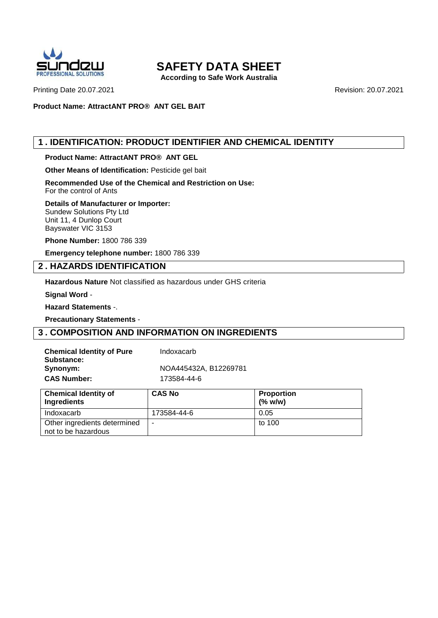

**According to Safe Work Australia**

Printing Date 20.07.2021 **Revision: 20.07.2021** Revision: 20.07.2021

**Product Name: AttractANT PRO® ANT GEL BAIT**

## **1 . IDENTIFICATION: PRODUCT IDENTIFIER AND CHEMICAL IDENTITY**

**Product Name: AttractANT PRO® ANT GEL**

**Other Means of Identification:** Pesticide gel bait

**Recommended Use of the Chemical and Restriction on Use:** For the control of Ants

#### **Details of Manufacturer or Importer:**

Sundew Solutions Pty Ltd Unit 11, 4 Dunlop Court Bayswater VIC 3153

**Phone Number:** 1800 786 339

**Emergency telephone number:** 1800 786 339

#### **2 . HAZARDS IDENTIFICATION**

**Hazardous Nature** Not classified as hazardous under GHS criteria

**Signal Word** -

**Hazard Statements** -.

**Precautionary Statements** -

#### **3 . COMPOSITION AND INFORMATION ON INGREDIENTS**

| <b>Chemical Identity of Pure</b> | Indoxacarb            |
|----------------------------------|-----------------------|
| Substance:                       |                       |
| Synonym:                         | NOA445432A, B12269781 |
| <b>CAS Number:</b>               | 173584-44-6           |

| <b>Chemical Identity of</b><br>Ingredients          | <b>CAS No</b> | <b>Proportion</b><br>$(\%$ w/w) |
|-----------------------------------------------------|---------------|---------------------------------|
| Indoxacarb                                          | 173584-44-6   | 0.05                            |
| Other ingredients determined<br>not to be hazardous | -             | to 100                          |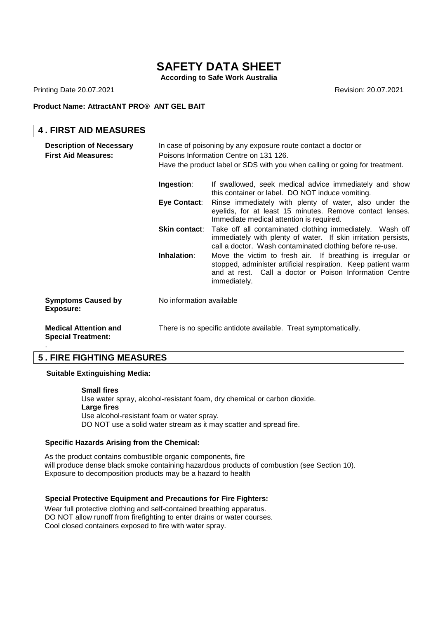**According to Safe Work Australia**

Printing Date 20.07.2021 **Revision: 20.07.2021** Revision: 20.07.2021

#### **Product Name: AttractANT PRO® ANT GEL BAIT**

| <b>4. FIRST AID MEASURES</b>                                  |                                                                                                                                                                                         |                                                                                                                                                                                                             |
|---------------------------------------------------------------|-----------------------------------------------------------------------------------------------------------------------------------------------------------------------------------------|-------------------------------------------------------------------------------------------------------------------------------------------------------------------------------------------------------------|
| <b>Description of Necessary</b><br><b>First Aid Measures:</b> | In case of poisoning by any exposure route contact a doctor or<br>Poisons Information Centre on 131 126.<br>Have the product label or SDS with you when calling or going for treatment. |                                                                                                                                                                                                             |
|                                                               | Ingestion:                                                                                                                                                                              | If swallowed, seek medical advice immediately and show<br>this container or label. DO NOT induce vomiting.                                                                                                  |
|                                                               | Eye Contact:                                                                                                                                                                            | Rinse immediately with plenty of water, also under the<br>eyelids, for at least 15 minutes. Remove contact lenses.<br>Immediate medical attention is required.                                              |
|                                                               |                                                                                                                                                                                         | <b>Skin contact:</b> Take off all contaminated clothing immediately. Wash off<br>immediately with plenty of water. If skin irritation persists,<br>call a doctor. Wash contaminated clothing before re-use. |
|                                                               | Inhalation:                                                                                                                                                                             | Move the victim to fresh air. If breathing is irregular or<br>stopped, administer artificial respiration. Keep patient warm<br>and at rest. Call a doctor or Poison Information Centre<br>immediately.      |
| <b>Symptoms Caused by</b><br>Exposure:                        | No information available                                                                                                                                                                |                                                                                                                                                                                                             |
| <b>Medical Attention and</b><br><b>Special Treatment:</b>     |                                                                                                                                                                                         | There is no specific antidote available. Treat symptomatically.                                                                                                                                             |

## **5 . FIRE FIGHTING MEASURES**

#### **Suitable Extinguishing Media:**

**Small fires**  Use water spray, alcohol-resistant foam, dry chemical or carbon dioxide. **Large fires**  Use alcohol-resistant foam or water spray. DO NOT use a solid water stream as it may scatter and spread fire.

#### **Specific Hazards Arising from the Chemical:**

As the product contains combustible organic components, the<br>will produce dense black smoke containing hazardous products of combustion (see Section 10). As the product contains combustible organic components, fire Exposure to decomposition products may be a hazard to health

#### **Special Protective Equipment and Precautions for Fire Fighters:**

. DO NOT allow runoff from firefighting to enter drains or water courses. Wear full protective clothing and self-contained breathing apparatus. Cool closed containers exposed to fire with water spray.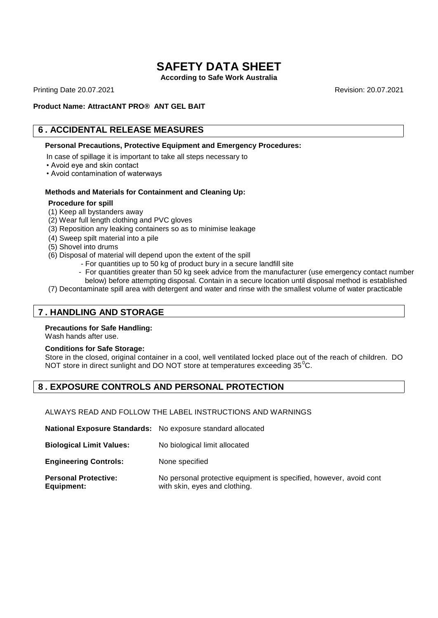**According to Safe Work Australia**

Printing Date 20.07.2021 **Revision: 20.07.2021** Revision: 20.07.2021

#### **Product Name: AttractANT PRO® ANT GEL BAIT**

## **6 . ACCIDENTAL RELEASE MEASURES**

#### **Personal Precautions, Protective Equipment and Emergency Procedures:**

In case of spillage it is important to take all steps necessary to

- Avoid eye and skin contact
- Avoid contamination of waterways

#### **Methods and Materials for Containment and Cleaning Up:**

#### **Procedure for spill**

- (1) Keep all bystanders away
- (2) Wear full length clothing and PVC gloves
- (3) Reposition any leaking containers so as to minimise leakage
- (4) Sweep spilt material into a pile
- (5) Shovel into drums
- (6) Disposal of material will depend upon the extent of the spill
	- For quantities up to 50 kg of product bury in a secure landfill site
		- For quantities greater than 50 kg seek advice from the manufacturer (use emergency contact number below) before attempting disposal. Contain in a secure location until disposal method is established
- (7) Decontaminate spill area with detergent and water and rinse with the smallest volume of water practicable

### **7 . HANDLING AND STORAGE**

#### **Precautions for Safe Handling:**

Wash hands after use.

#### **Conditions for Safe Storage:**

Store in the closed, original container in a cool, well ventilated locked place out of the reach of children. DO NOT store in direct sunlight and DO NOT store at temperatures exceeding  $35^{\circ}$ C.

#### **8 . EXPOSURE CONTROLS AND PERSONAL PROTECTION**

ALWAYS READ AND FOLLOW THE LABEL INSTRUCTIONS AND WARNINGS

| <b>National Exposure Standards:</b> No exposure standard allocated |                                                                                                     |
|--------------------------------------------------------------------|-----------------------------------------------------------------------------------------------------|
| <b>Biological Limit Values:</b>                                    | No biological limit allocated                                                                       |
| <b>Engineering Controls:</b>                                       | None specified                                                                                      |
| <b>Personal Protective:</b><br>Equipment:                          | No personal protective equipment is specified, however, avoid cont<br>with skin, eyes and clothing. |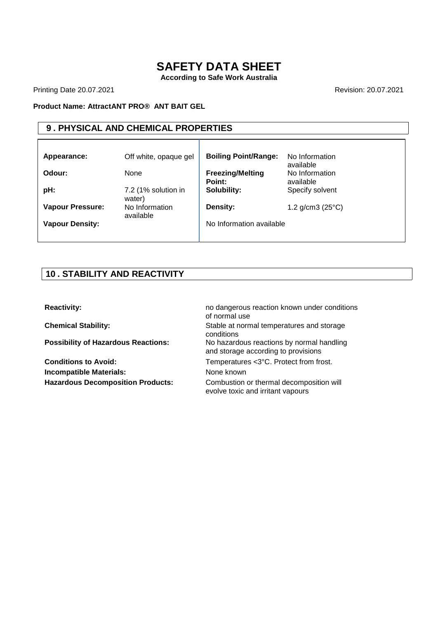**According to Safe Work Australia**

Printing Date 20.07.2021 **Revision: 20.07.2021** 

#### **Product Name: AttractANT PRO® ANT BAIT GEL**

## **9 . PHYSICAL AND CHEMICAL PROPERTIES**

| Appearance:             | Off white, opaque gel         | <b>Boiling Point/Range:</b>       | No Information<br>available |
|-------------------------|-------------------------------|-----------------------------------|-----------------------------|
| Odour:                  | None                          | <b>Freezing/Melting</b><br>Point: | No Information<br>available |
| pH:                     | 7.2 (1% solution in<br>water) | Solubility:                       | Specify solvent             |
| <b>Vapour Pressure:</b> | No Information<br>available   | Density:                          | 1.2 $g/cm3$ (25 $°C$ )      |
| <b>Vapour Density:</b>  |                               | No Information available          |                             |

## **10 . STABILITY AND REACTIVITY**

**Incompatible Materials:** None known

**Reactivity: Reactivity: no dangerous reaction known under conditions** of normal use **Chemical Stability:** Stable at normal temperatures and storage conditions **Possibility of Hazardous Reactions:** No hazardous reactions by normal handling and storage according to provisions **Conditions to Avoid:** Temperatures <3°C. Protect from frost. Hazardous Decomposition Products: Combustion or thermal decomposition will

evolve toxic and irritant vapours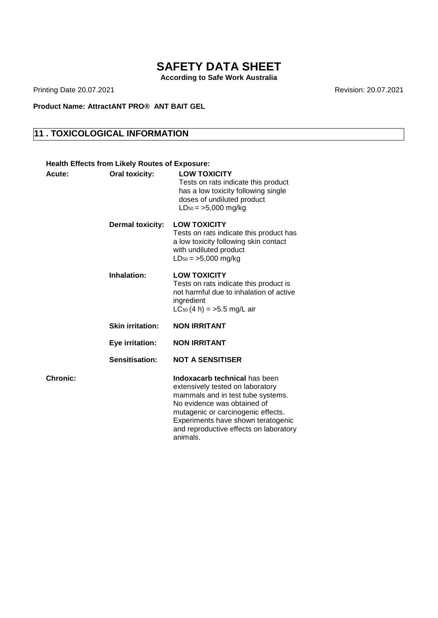**According to Safe Work Australia**

Printing Date 20.07.2021 **Revision: 20.07.2021** 

**Product Name: AttractANT PRO® ANT BAIT GEL**

## **11 . TOXICOLOGICAL INFORMATION**

| <b>Health Effects from Likely Routes of Exposure:</b> |                                                                                                                                                                                                                                                                         |
|-------------------------------------------------------|-------------------------------------------------------------------------------------------------------------------------------------------------------------------------------------------------------------------------------------------------------------------------|
| <b>Oral toxicity:</b>                                 | <b>LOW TOXICITY</b><br>Tests on rats indicate this product<br>has a low toxicity following single<br>doses of undiluted product<br>$LD_{50} = >5,000$ mg/kg                                                                                                             |
| <b>Dermal toxicity:</b>                               | <b>LOW TOXICITY</b><br>Tests on rats indicate this product has<br>a low toxicity following skin contact<br>with undiluted product<br>$LD_{50} = >5,000$ mg/kg                                                                                                           |
| Inhalation:                                           | <b>LOW TOXICITY</b><br>Tests on rats indicate this product is<br>not harmful due to inhalation of active<br>ingredient<br>$LC_{50}(4 h) = 5.5 mg/L$ air                                                                                                                 |
| <b>Skin irritation:</b>                               | <b>NON IRRITANT</b>                                                                                                                                                                                                                                                     |
| Eye irritation:                                       | <b>NON IRRITANT</b>                                                                                                                                                                                                                                                     |
| Sensitisation:                                        | <b>NOT A SENSITISER</b>                                                                                                                                                                                                                                                 |
|                                                       | Indoxacarb technical has been<br>extensively tested on laboratory<br>mammals and in test tube systems.<br>No evidence was obtained of<br>mutagenic or carcinogenic effects.<br>Experiments have shown teratogenic<br>and reproductive effects on laboratory<br>animals. |
|                                                       |                                                                                                                                                                                                                                                                         |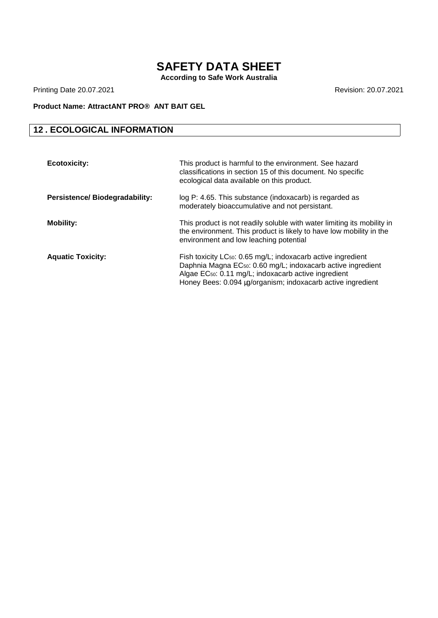**According to Safe Work Australia**

Printing Date 20.07.2021 **Revision: 20.07.2021** 

#### **Product Name: AttractANT PRO® ANT BAIT GEL**

## **12 . ECOLOGICAL INFORMATION**

| <b>Ecotoxicity:</b>                  | This product is harmful to the environment. See hazard<br>classifications in section 15 of this document. No specific<br>ecological data available on this product.                                                                                                                     |
|--------------------------------------|-----------------------------------------------------------------------------------------------------------------------------------------------------------------------------------------------------------------------------------------------------------------------------------------|
| <b>Persistence/Biodegradability:</b> | log P: 4.65. This substance (indoxacarb) is regarded as<br>moderately bioaccumulative and not persistant.                                                                                                                                                                               |
| <b>Mobility:</b>                     | This product is not readily soluble with water limiting its mobility in<br>the environment. This product is likely to have low mobility in the<br>environment and low leaching potential                                                                                                |
| <b>Aquatic Toxicity:</b>             | Fish toxicity LC <sub>50</sub> : 0.65 mg/L; indoxacarb active ingredient<br>Daphnia Magna EC <sub>50</sub> : 0.60 mg/L; indoxacarb active ingredient<br>Algae EC <sub>50</sub> : 0.11 mg/L; indoxacarb active ingredient<br>Honey Bees: 0.094 µg/organism; indoxacarb active ingredient |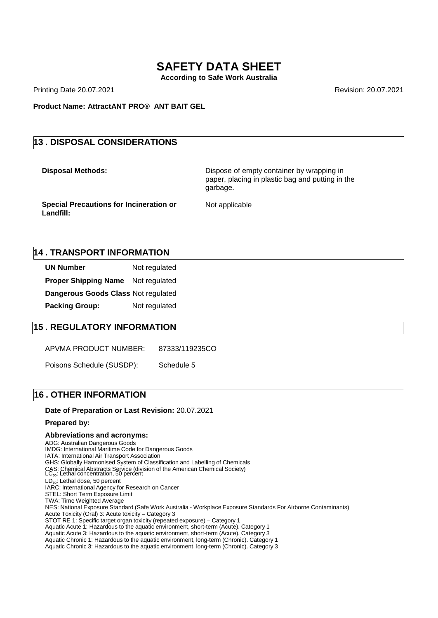**According to Safe Work Australia**

Printing Date 20.07.2021 **Revision: 20.07.2021** Revision: 20.07.2021

**Product Name: AttractANT PRO® ANT BAIT GEL**

#### **13 . DISPOSAL CONSIDERATIONS**

**Disposal Methods:** Dispose of empty container by wrapping in paper, placing in plastic bag and putting in the garbage.

**Special Precautions for Incineration or Landfill:** 

Not applicable

#### **14 . TRANSPORT INFORMATION**

**UN Number** Not regulated **Proper Shipping Name** Not regulated **Dangerous Goods Class** Not regulated **Packing Group:** Not regulated

#### **15 . REGULATORY INFORMATION**

APVMA PRODUCT NUMBER: 87333/119235CO

Poisons Schedule (SUSDP): Schedule 5

#### **16 . OTHER INFORMATION**

#### **Date of Preparation or Last Revision:** 20.07.2021

#### **Prepared by:**

#### **Abbreviations and acronyms:**

ADG: Australian Dangerous Goods IMDG: International Maritime Code for Dangerous Goods

IATA: International Air Transport Association

GHS: Globally Harmonised System of Classification and Labelling of Chemicals

CAS: Chemical Abstracts Service (division of the American Chemical Society)<br>LC<sub>so</sub>: Lethal concentration, 50 percent

LD<sub>50</sub>: Lethal dose, 50 percent

IARC: International Agency for Research on Cancer

TWA: Time Weighted Average

NES: National Exposure Standard (Safe Work Australia - Workplace Exposure Standards For Airborne Contaminants)

Acute Toxicity (Oral) 3: Acute toxicity – Category 3

STOT RE 1: Specific target organ toxicity (repeated exposure) – Category 1

Aquatic Acute 1: Hazardous to the aquatic environment, short-term (Acute). Category 1

Aquatic Acute 3: Hazardous to the aquatic environment, short-term (Acute). Category 3 Aquatic Chronic 1: Hazardous to the aquatic environment, long-term (Chronic). Category 1

Aquatic Chronic 3: Hazardous to the aquatic environment, long-term (Chronic). Category 3

STEL: Short Term Exposure Limit